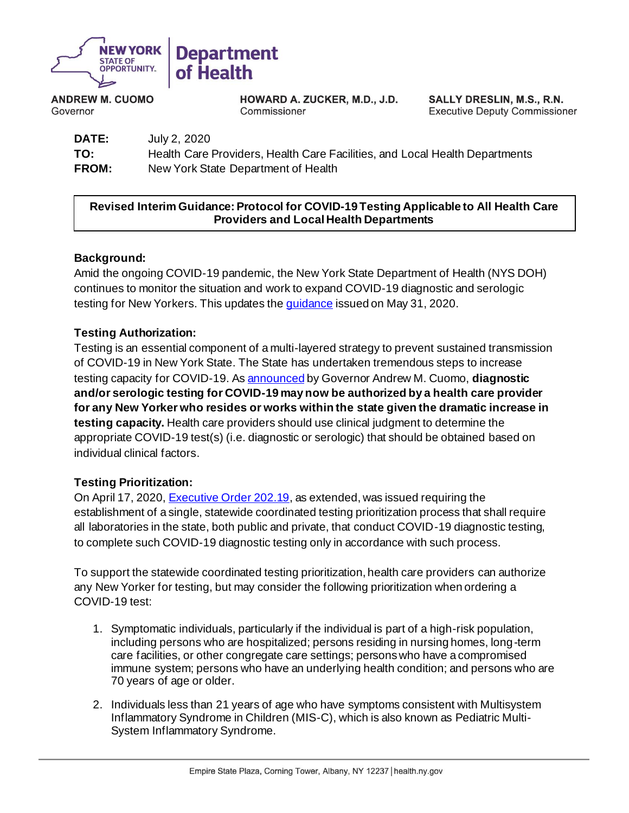

**ANDREW M. CUOMO** Governor

HOWARD A. ZUCKER, M.D., J.D. Commissioner

SALLY DRESLIN, M.S., R.N. **Executive Deputy Commissioner** 

**DATE:** July 2, 2020 **TO:** Health Care Providers, Health Care Facilities, and Local Health Departments **FROM:** New York State Department of Health

# **Revised Interim Guidance: Protocol for COVID-19 Testing Applicable to All Health Care Providers and Local Health Departments**

## **Background:**

Amid the ongoing COVID-19 pandemic, the New York State Department of Health (NYS DOH) continues to monitor the situation and work to expand COVID-19 diagnostic and serologic testing for New Yorkers. This updates th[e guidance](https://coronavirus.health.ny.gov/system/files/documents/2020/06/doh_covid19_revisedtestingprotocol_053120.pdf) issued on May 31, 2020.

## **Testing Authorization:**

Testing is an essential component of a multi-layered strategy to prevent sustained transmission of COVID-19 in New York State. The State has undertaken tremendous steps to increase testing capacity for COVID-19. A[s announced](https://www.governor.ny.gov/news/governor-cuomo-announces-phase-three-indoor-dining-postponed-new-york-city) by Governor Andrew M. Cuomo, **diagnostic and/or serologic testing for COVID-19 may now be authorized by a health care provider for any New Yorker who resides or works within the state given the dramatic increase in testing capacity.** Health care providers should use clinical judgment to determine the appropriate COVID-19 test(s) (i.e. diagnostic or serologic) that should be obtained based on individual clinical factors.

### **Testing Prioritization:**

On April 17, 2020[, Executive Order 202.19,](https://www.governor.ny.gov/news/no-20219-continuing-temporary-suspension-and-modification-laws-relating-disaster-emergency) as extended, was issued requiring the establishment of a single, statewide coordinated testing prioritization process that shall require all laboratories in the state, both public and private, that conduct COVID-19 diagnostic testing, to complete such COVID-19 diagnostic testing only in accordance with such process.

To support the statewide coordinated testing prioritization, health care providers can authorize any New Yorker for testing, but may consider the following prioritization when ordering a COVID-19 test:

- 1. Symptomatic individuals, particularly if the individual is part of a high-risk population, including persons who are hospitalized; persons residing in nursing homes, long-term care facilities, or other congregate care settings; persons who have a compromised immune system; persons who have an underlying health condition; and persons who are 70 years of age or older.
- 2. Individuals less than 21 years of age who have symptoms consistent with Multisystem Inflammatory Syndrome in Children (MIS-C), which is also known as Pediatric Multi-System Inflammatory Syndrome.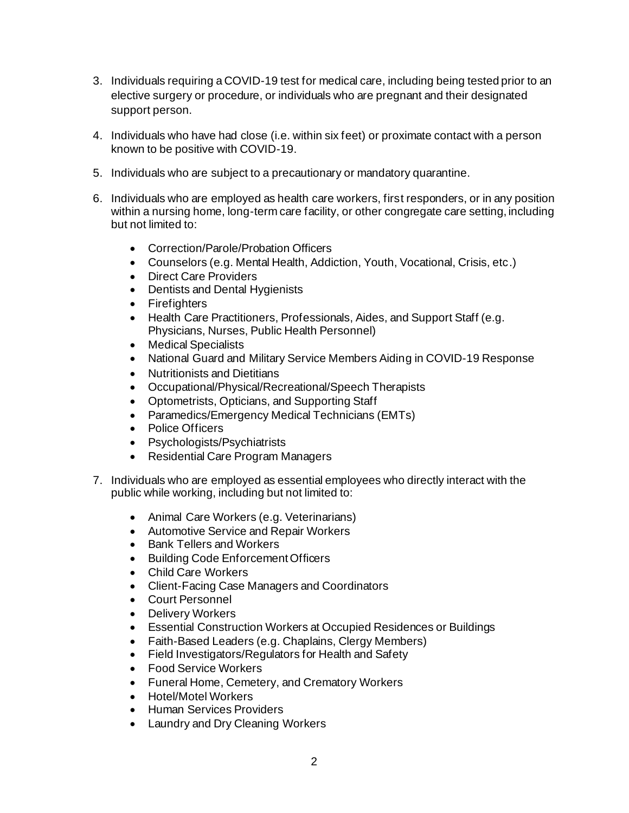- 3. Individuals requiring a COVID-19 test for medical care, including being tested prior to an elective surgery or procedure, or individuals who are pregnant and their designated support person.
- 4. Individuals who have had close (i.e. within six feet) or proximate contact with a person known to be positive with COVID-19.
- 5. Individuals who are subject to a precautionary or mandatory quarantine.
- 6. Individuals who are employed as health care workers, first responders, or in any position within a nursing home, long-term care facility, or other congregate care setting, including but not limited to:
	- Correction/Parole/Probation Officers
	- Counselors (e.g. Mental Health, Addiction, Youth, Vocational, Crisis, etc.)
	- Direct Care Providers
	- Dentists and Dental Hygienists
	- Firefighters
	- Health Care Practitioners, Professionals, Aides, and Support Staff (e.g. Physicians, Nurses, Public Health Personnel)
	- Medical Specialists
	- National Guard and Military Service Members Aiding in COVID-19 Response
	- Nutritionists and Dietitians
	- Occupational/Physical/Recreational/Speech Therapists
	- Optometrists, Opticians, and Supporting Staff
	- Paramedics/Emergency Medical Technicians (EMTs)
	- Police Officers
	- Psychologists/Psychiatrists
	- Residential Care Program Managers
- 7. Individuals who are employed as essential employees who directly interact with the public while working, including but not limited to:
	- Animal Care Workers (e.g. Veterinarians)
	- Automotive Service and Repair Workers
	- Bank Tellers and Workers
	- Building Code Enforcement Officers
	- Child Care Workers
	- Client-Facing Case Managers and Coordinators
	- Court Personnel
	- Delivery Workers
	- Essential Construction Workers at Occupied Residences or Buildings
	- Faith-Based Leaders (e.g. Chaplains, Clergy Members)
	- Field Investigators/Regulators for Health and Safety
	- Food Service Workers
	- Funeral Home, Cemetery, and Crematory Workers
	- Hotel/Motel Workers
	- Human Services Providers
	- Laundry and Dry Cleaning Workers